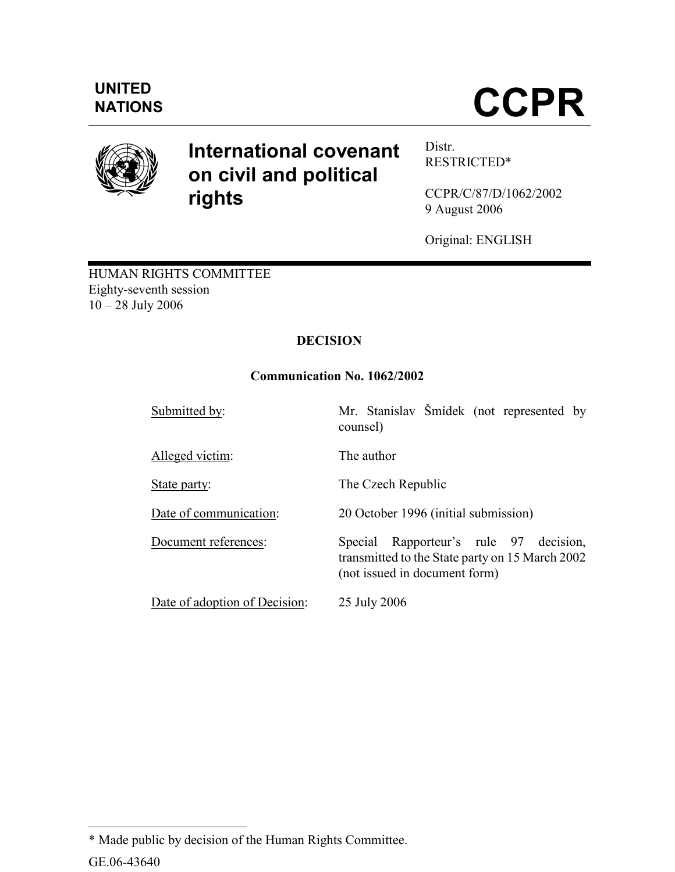

# International covenant on civil and political rights

Distr. RESTRICTED\*

CCPR/C/87/D/1062/2002 9 August 2006

Original: ENGLISH

HUMAN RIGHTS COMMITTEE Eighty-seventh session 10 – 28 July 2006

## **DECISION**

## Communication No. 1062/2002

| Submitted by:                 | Mr. Stanislav Šmídek (not represented by<br>counsel)                                                                          |
|-------------------------------|-------------------------------------------------------------------------------------------------------------------------------|
| Alleged victim:               | The author                                                                                                                    |
| State party:                  | The Czech Republic                                                                                                            |
| Date of communication:        | 20 October 1996 (initial submission)                                                                                          |
| Document references:          | Rapporteur's rule 97 decision,<br>Special<br>transmitted to the State party on 15 March 2002<br>(not issued in document form) |
| Date of adoption of Decision: | 25 July 2006                                                                                                                  |

GE.06-43640 l \* Made public by decision of the Human Rights Committee.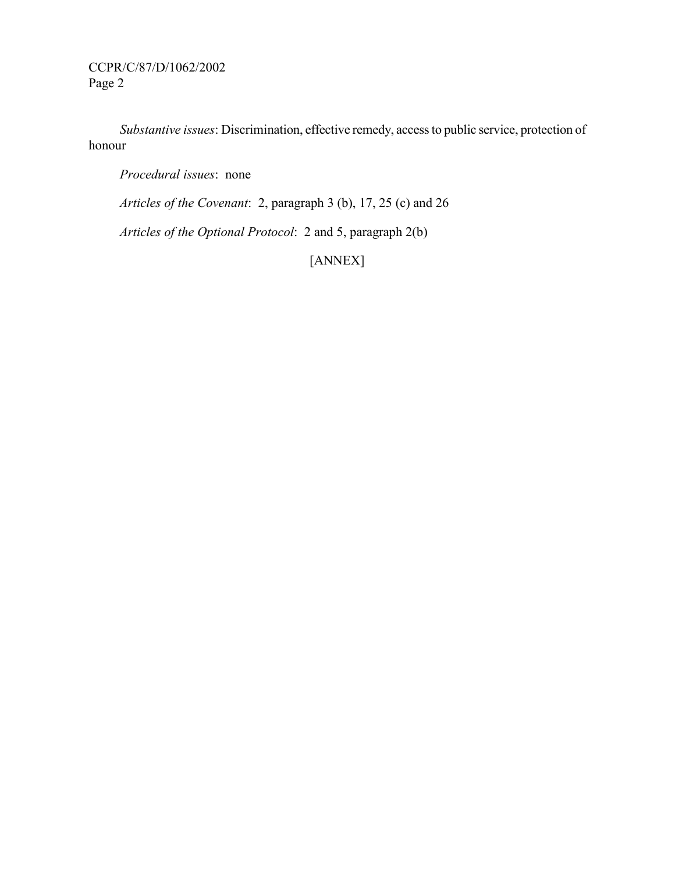CCPR/C/87/D/1062/2002 Page 2

 Substantive issues: Discrimination, effective remedy, access to public service, protection of honour

Procedural issues: none

Articles of the Covenant: 2, paragraph 3 (b), 17, 25 (c) and 26

Articles of the Optional Protocol: 2 and 5, paragraph 2(b)

[ANNEX]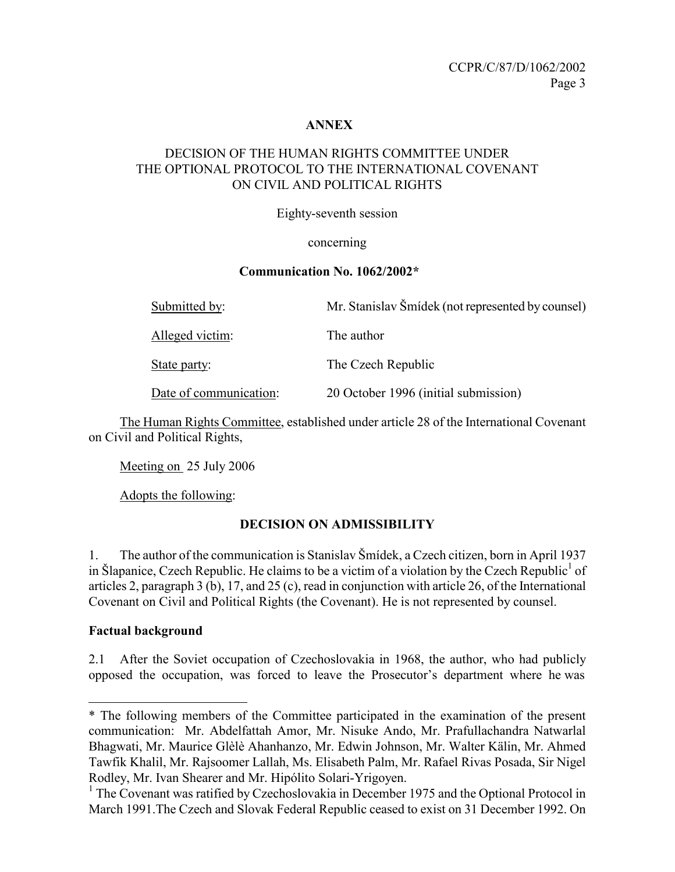#### ANNEX

## DECISION OF THE HUMAN RIGHTS COMMITTEE UNDER THE OPTIONAL PROTOCOL TO THE INTERNATIONAL COVENANT ON CIVIL AND POLITICAL RIGHTS

Eighty-seventh session

#### concerning

#### Communication No. 1062/2002\*

| Submitted by:          | Mr. Stanislav Šmídek (not represented by counsel) |
|------------------------|---------------------------------------------------|
| Alleged victim:        | The author                                        |
| State party:           | The Czech Republic                                |
| Date of communication: | 20 October 1996 (initial submission)              |

 The Human Rights Committee, established under article 28 of the International Covenant on Civil and Political Rights,

Meeting on 25 July 2006

Adopts the following:

## DECISION ON ADMISSIBILITY

1. The author of the communication is Stanislav Šmídek, a Czech citizen, born in April 1937 in Šlapanice, Czech Republic. He claims to be a victim of a violation by the Czech Republic<sup>1</sup> of articles 2, paragraph 3 (b), 17, and 25 (c), read in conjunction with article 26, of the International Covenant on Civil and Political Rights (the Covenant). He is not represented by counsel.

#### Factual background

-

2.1 After the Soviet occupation of Czechoslovakia in 1968, the author, who had publicly opposed the occupation, was forced to leave the Prosecutor's department where he was

<sup>\*</sup> The following members of the Committee participated in the examination of the present communication: Mr. Abdelfattah Amor, Mr. Nisuke Ando, Mr. Prafullachandra Natwarlal Bhagwati, Mr. Maurice Glèlè Ahanhanzo, Mr. Edwin Johnson, Mr. Walter Kälin, Mr. Ahmed Tawfik Khalil, Mr. Rajsoomer Lallah, Ms. Elisabeth Palm, Mr. Rafael Rivas Posada, Sir Nigel Rodley, Mr. Ivan Shearer and Mr. Hipólito Solari-Yrigoyen.

<sup>&</sup>lt;sup>1</sup> The Covenant was ratified by Czechoslovakia in December 1975 and the Optional Protocol in March 1991.The Czech and Slovak Federal Republic ceased to exist on 31 December 1992. On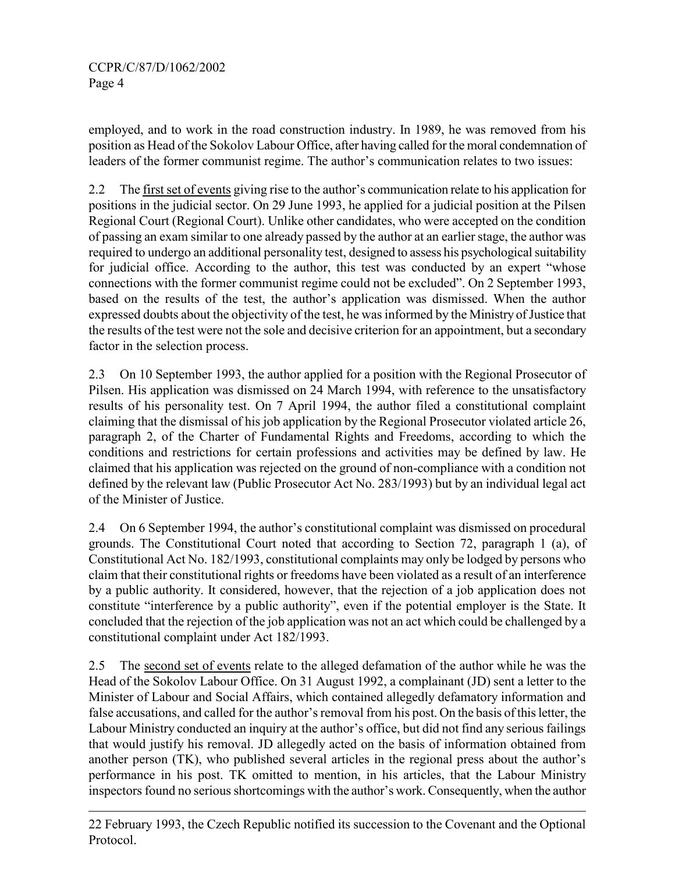-

employed, and to work in the road construction industry. In 1989, he was removed from his position as Head of the Sokolov Labour Office, after having called for the moral condemnation of leaders of the former communist regime. The author's communication relates to two issues:

2.2 The first set of events giving rise to the author's communication relate to his application for positions in the judicial sector. On 29 June 1993, he applied for a judicial position at the Pilsen Regional Court (Regional Court). Unlike other candidates, who were accepted on the condition of passing an exam similar to one already passed by the author at an earlier stage, the author was required to undergo an additional personality test, designed to assess his psychological suitability for judicial office. According to the author, this test was conducted by an expert "whose connections with the former communist regime could not be excluded". On 2 September 1993, based on the results of the test, the author's application was dismissed. When the author expressed doubts about the objectivity of the test, he was informed by the Ministry of Justice that the results of the test were not the sole and decisive criterion for an appointment, but a secondary factor in the selection process.

2.3 On 10 September 1993, the author applied for a position with the Regional Prosecutor of Pilsen. His application was dismissed on 24 March 1994, with reference to the unsatisfactory results of his personality test. On 7 April 1994, the author filed a constitutional complaint claiming that the dismissal of his job application by the Regional Prosecutor violated article 26, paragraph 2, of the Charter of Fundamental Rights and Freedoms, according to which the conditions and restrictions for certain professions and activities may be defined by law. He claimed that his application was rejected on the ground of non-compliance with a condition not defined by the relevant law (Public Prosecutor Act No. 283/1993) but by an individual legal act of the Minister of Justice.

2.4 On 6 September 1994, the author's constitutional complaint was dismissed on procedural grounds. The Constitutional Court noted that according to Section 72, paragraph 1 (a), of Constitutional Act No. 182/1993, constitutional complaints may only be lodged by persons who claim that their constitutional rights or freedoms have been violated as a result of an interference by a public authority. It considered, however, that the rejection of a job application does not constitute "interference by a public authority", even if the potential employer is the State. It concluded that the rejection of the job application was not an act which could be challenged by a constitutional complaint under Act 182/1993.

2.5 The second set of events relate to the alleged defamation of the author while he was the Head of the Sokolov Labour Office. On 31 August 1992, a complainant (JD) sent a letter to the Minister of Labour and Social Affairs, which contained allegedly defamatory information and false accusations, and called for the author's removal from his post. On the basis of this letter, the Labour Ministry conducted an inquiry at the author's office, but did not find any serious failings that would justify his removal. JD allegedly acted on the basis of information obtained from another person (TK), who published several articles in the regional press about the author's performance in his post. TK omitted to mention, in his articles, that the Labour Ministry inspectors found no serious shortcomings with the author's work. Consequently, when the author

<sup>22</sup> February 1993, the Czech Republic notified its succession to the Covenant and the Optional Protocol.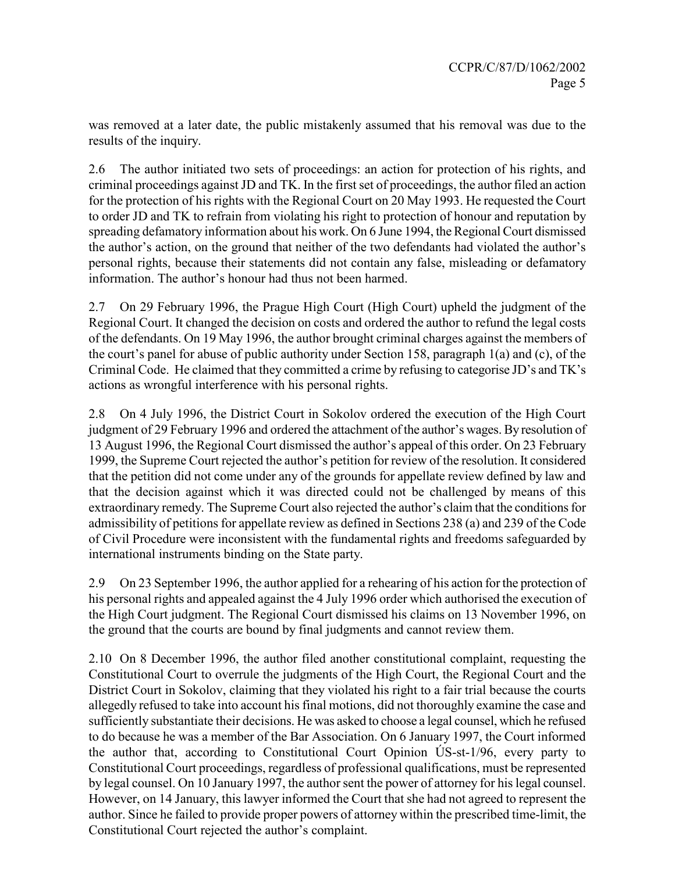was removed at a later date, the public mistakenly assumed that his removal was due to the results of the inquiry.

2.6 The author initiated two sets of proceedings: an action for protection of his rights, and criminal proceedings against JD and TK. In the first set of proceedings, the author filed an action for the protection of his rights with the Regional Court on 20 May 1993. He requested the Court to order JD and TK to refrain from violating his right to protection of honour and reputation by spreading defamatory information about his work. On 6 June 1994, the Regional Court dismissed the author's action, on the ground that neither of the two defendants had violated the author's personal rights, because their statements did not contain any false, misleading or defamatory information. The author's honour had thus not been harmed.

2.7 On 29 February 1996, the Prague High Court (High Court) upheld the judgment of the Regional Court. It changed the decision on costs and ordered the author to refund the legal costs of the defendants. On 19 May 1996, the author brought criminal charges against the members of the court's panel for abuse of public authority under Section 158, paragraph 1(a) and (c), of the Criminal Code. He claimed that they committed a crime by refusing to categorise JD's and TK's actions as wrongful interference with his personal rights.

2.8 On 4 July 1996, the District Court in Sokolov ordered the execution of the High Court judgment of 29 February 1996 and ordered the attachment of the author's wages. By resolution of 13 August 1996, the Regional Court dismissed the author's appeal of this order. On 23 February 1999, the Supreme Court rejected the author's petition for review of the resolution. It considered that the petition did not come under any of the grounds for appellate review defined by law and that the decision against which it was directed could not be challenged by means of this extraordinary remedy. The Supreme Court also rejected the author's claim that the conditions for admissibility of petitions for appellate review as defined in Sections 238 (a) and 239 of the Code of Civil Procedure were inconsistent with the fundamental rights and freedoms safeguarded by international instruments binding on the State party.

2.9 On 23 September 1996, the author applied for a rehearing of his action for the protection of his personal rights and appealed against the 4 July 1996 order which authorised the execution of the High Court judgment. The Regional Court dismissed his claims on 13 November 1996, on the ground that the courts are bound by final judgments and cannot review them.

2.10 On 8 December 1996, the author filed another constitutional complaint, requesting the Constitutional Court to overrule the judgments of the High Court, the Regional Court and the District Court in Sokolov, claiming that they violated his right to a fair trial because the courts allegedly refused to take into account his final motions, did not thoroughly examine the case and sufficiently substantiate their decisions. He was asked to choose a legal counsel, which he refused to do because he was a member of the Bar Association. On 6 January 1997, the Court informed the author that, according to Constitutional Court Opinion ÚS-st-1/96, every party to Constitutional Court proceedings, regardless of professional qualifications, must be represented by legal counsel. On 10 January 1997, the author sent the power of attorney for his legal counsel. However, on 14 January, this lawyer informed the Court that she had not agreed to represent the author. Since he failed to provide proper powers of attorney within the prescribed time-limit, the Constitutional Court rejected the author's complaint.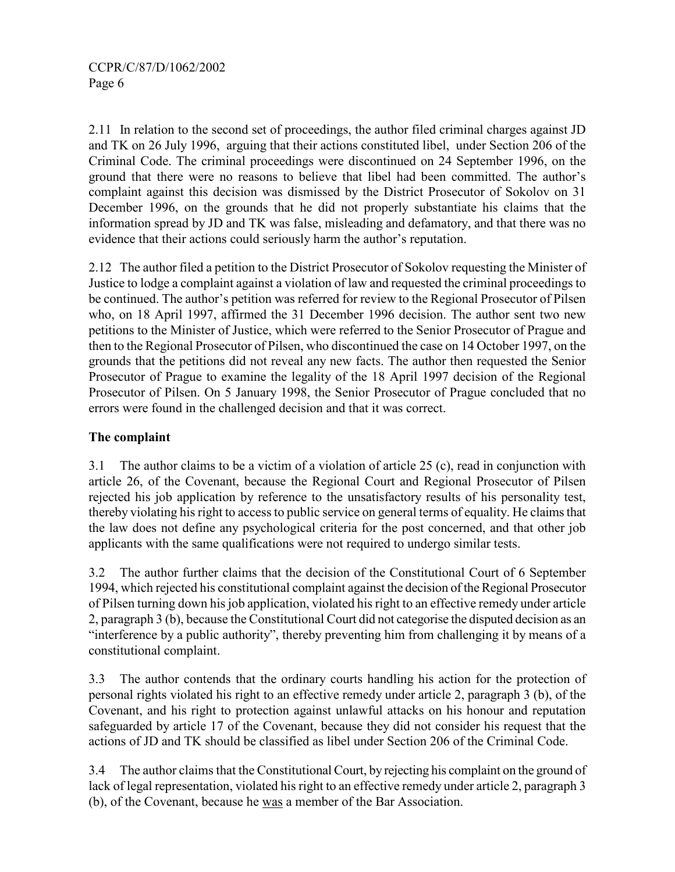2.11 In relation to the second set of proceedings, the author filed criminal charges against JD and TK on 26 July 1996, arguing that their actions constituted libel, under Section 206 of the Criminal Code. The criminal proceedings were discontinued on 24 September 1996, on the ground that there were no reasons to believe that libel had been committed. The author's complaint against this decision was dismissed by the District Prosecutor of Sokolov on 31 December 1996, on the grounds that he did not properly substantiate his claims that the information spread by JD and TK was false, misleading and defamatory, and that there was no evidence that their actions could seriously harm the author's reputation.

2.12 The author filed a petition to the District Prosecutor of Sokolov requesting the Minister of Justice to lodge a complaint against a violation of law and requested the criminal proceedings to be continued. The author's petition was referred for review to the Regional Prosecutor of Pilsen who, on 18 April 1997, affirmed the 31 December 1996 decision. The author sent two new petitions to the Minister of Justice, which were referred to the Senior Prosecutor of Prague and then to the Regional Prosecutor of Pilsen, who discontinued the case on 14 October 1997, on the grounds that the petitions did not reveal any new facts. The author then requested the Senior Prosecutor of Prague to examine the legality of the 18 April 1997 decision of the Regional Prosecutor of Pilsen. On 5 January 1998, the Senior Prosecutor of Prague concluded that no errors were found in the challenged decision and that it was correct.

## The complaint

3.1 The author claims to be a victim of a violation of article 25 (c), read in conjunction with article 26, of the Covenant, because the Regional Court and Regional Prosecutor of Pilsen rejected his job application by reference to the unsatisfactory results of his personality test, thereby violating his right to access to public service on general terms of equality. He claims that the law does not define any psychological criteria for the post concerned, and that other job applicants with the same qualifications were not required to undergo similar tests.

3.2 The author further claims that the decision of the Constitutional Court of 6 September 1994, which rejected his constitutional complaint against the decision of the Regional Prosecutor of Pilsen turning down his job application, violated his right to an effective remedy under article 2, paragraph 3 (b), because the Constitutional Court did not categorise the disputed decision as an "interference by a public authority", thereby preventing him from challenging it by means of a constitutional complaint.

3.3 The author contends that the ordinary courts handling his action for the protection of personal rights violated his right to an effective remedy under article 2, paragraph 3 (b), of the Covenant, and his right to protection against unlawful attacks on his honour and reputation safeguarded by article 17 of the Covenant, because they did not consider his request that the actions of JD and TK should be classified as libel under Section 206 of the Criminal Code.

3.4 The author claims that the Constitutional Court, by rejecting his complaint on the ground of lack of legal representation, violated his right to an effective remedy under article 2, paragraph 3 (b), of the Covenant, because he was a member of the Bar Association.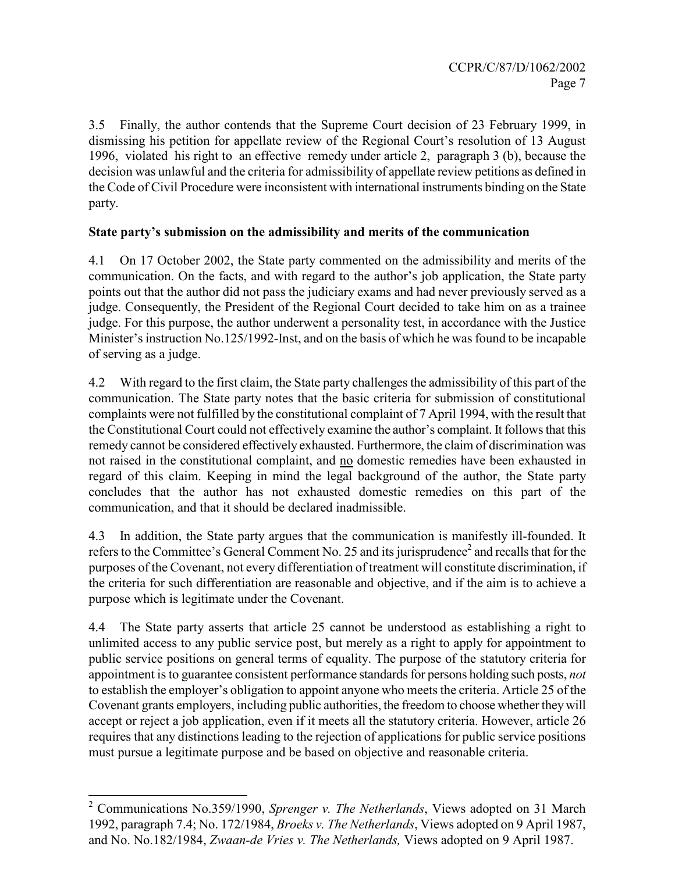3.5 Finally, the author contends that the Supreme Court decision of 23 February 1999, in dismissing his petition for appellate review of the Regional Court's resolution of 13 August 1996, violated his right to an effective remedy under article 2, paragraph 3 (b), because the decision was unlawful and the criteria for admissibility of appellate review petitions as defined in the Code of Civil Procedure were inconsistent with international instruments binding on the State party.

## State party's submission on the admissibility and merits of the communication

4.1 On 17 October 2002, the State party commented on the admissibility and merits of the communication. On the facts, and with regard to the author's job application, the State party points out that the author did not pass the judiciary exams and had never previously served as a judge. Consequently, the President of the Regional Court decided to take him on as a trainee judge. For this purpose, the author underwent a personality test, in accordance with the Justice Minister's instruction No.125/1992-Inst, and on the basis of which he was found to be incapable of serving as a judge.

4.2 With regard to the first claim, the State party challenges the admissibility of this part of the communication. The State party notes that the basic criteria for submission of constitutional complaints were not fulfilled by the constitutional complaint of 7 April 1994, with the result that the Constitutional Court could not effectively examine the author's complaint. It follows that this remedy cannot be considered effectively exhausted. Furthermore, the claim of discrimination was not raised in the constitutional complaint, and no domestic remedies have been exhausted in regard of this claim. Keeping in mind the legal background of the author, the State party concludes that the author has not exhausted domestic remedies on this part of the communication, and that it should be declared inadmissible.

4.3 In addition, the State party argues that the communication is manifestly ill-founded. It refers to the Committee's General Comment No. 25 and its jurisprudence<sup>2</sup> and recalls that for the purposes of the Covenant, not every differentiation of treatment will constitute discrimination, if the criteria for such differentiation are reasonable and objective, and if the aim is to achieve a purpose which is legitimate under the Covenant.

4.4 The State party asserts that article 25 cannot be understood as establishing a right to unlimited access to any public service post, but merely as a right to apply for appointment to public service positions on general terms of equality. The purpose of the statutory criteria for appointment is to guarantee consistent performance standards for persons holding such posts, not to establish the employer's obligation to appoint anyone who meets the criteria. Article 25 of the Covenant grants employers, including public authorities, the freedom to choose whether they will accept or reject a job application, even if it meets all the statutory criteria. However, article 26 requires that any distinctions leading to the rejection of applications for public service positions must pursue a legitimate purpose and be based on objective and reasonable criteria.

<sup>&</sup>lt;sup>2</sup> Communications No.359/1990, Sprenger v. The Netherlands, Views adopted on 31 March 1992, paragraph 7.4; No. 172/1984, Broeks v. The Netherlands, Views adopted on 9 April 1987, and No. No.182/1984, Zwaan-de Vries v. The Netherlands, Views adopted on 9 April 1987.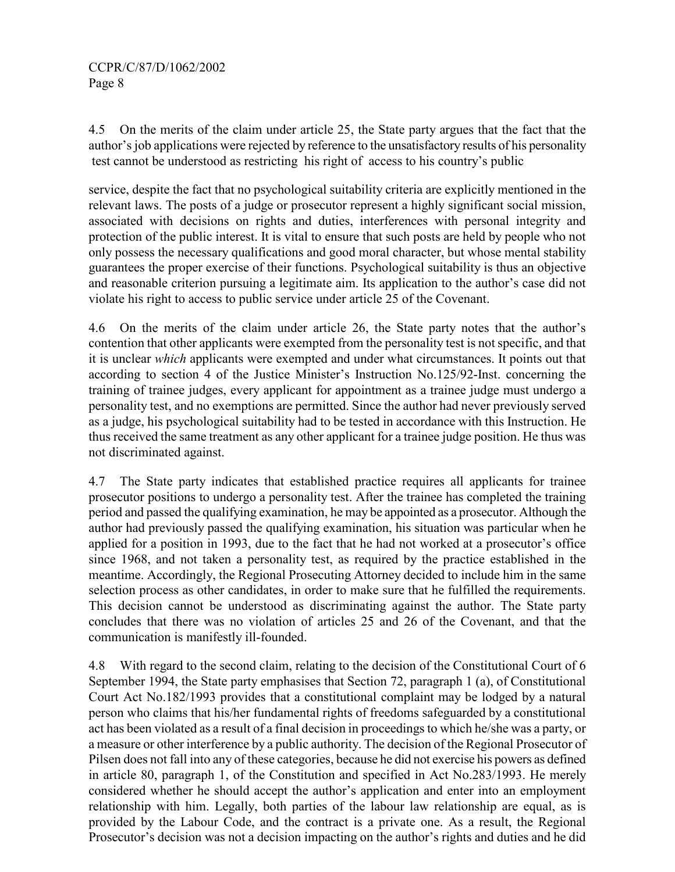4.5 On the merits of the claim under article 25, the State party argues that the fact that the author's job applications were rejected by reference to the unsatisfactory results of his personality test cannot be understood as restricting his right of access to his country's public

service, despite the fact that no psychological suitability criteria are explicitly mentioned in the relevant laws. The posts of a judge or prosecutor represent a highly significant social mission, associated with decisions on rights and duties, interferences with personal integrity and protection of the public interest. It is vital to ensure that such posts are held by people who not only possess the necessary qualifications and good moral character, but whose mental stability guarantees the proper exercise of their functions. Psychological suitability is thus an objective and reasonable criterion pursuing a legitimate aim. Its application to the author's case did not violate his right to access to public service under article 25 of the Covenant.

4.6 On the merits of the claim under article 26, the State party notes that the author's contention that other applicants were exempted from the personality test is not specific, and that it is unclear which applicants were exempted and under what circumstances. It points out that according to section 4 of the Justice Minister's Instruction No.125/92-Inst. concerning the training of trainee judges, every applicant for appointment as a trainee judge must undergo a personality test, and no exemptions are permitted. Since the author had never previously served as a judge, his psychological suitability had to be tested in accordance with this Instruction. He thus received the same treatment as any other applicant for a trainee judge position. He thus was not discriminated against.

4.7 The State party indicates that established practice requires all applicants for trainee prosecutor positions to undergo a personality test. After the trainee has completed the training period and passed the qualifying examination, he may be appointed as a prosecutor. Although the author had previously passed the qualifying examination, his situation was particular when he applied for a position in 1993, due to the fact that he had not worked at a prosecutor's office since 1968, and not taken a personality test, as required by the practice established in the meantime. Accordingly, the Regional Prosecuting Attorney decided to include him in the same selection process as other candidates, in order to make sure that he fulfilled the requirements. This decision cannot be understood as discriminating against the author. The State party concludes that there was no violation of articles 25 and 26 of the Covenant, and that the communication is manifestly ill-founded.

4.8 With regard to the second claim, relating to the decision of the Constitutional Court of 6 September 1994, the State party emphasises that Section 72, paragraph 1 (a), of Constitutional Court Act No.182/1993 provides that a constitutional complaint may be lodged by a natural person who claims that his/her fundamental rights of freedoms safeguarded by a constitutional act has been violated as a result of a final decision in proceedings to which he/she was a party, or a measure or other interference by a public authority. The decision of the Regional Prosecutor of Pilsen does not fall into any of these categories, because he did not exercise his powers as defined in article 80, paragraph 1, of the Constitution and specified in Act No.283/1993. He merely considered whether he should accept the author's application and enter into an employment relationship with him. Legally, both parties of the labour law relationship are equal, as is provided by the Labour Code, and the contract is a private one. As a result, the Regional Prosecutor's decision was not a decision impacting on the author's rights and duties and he did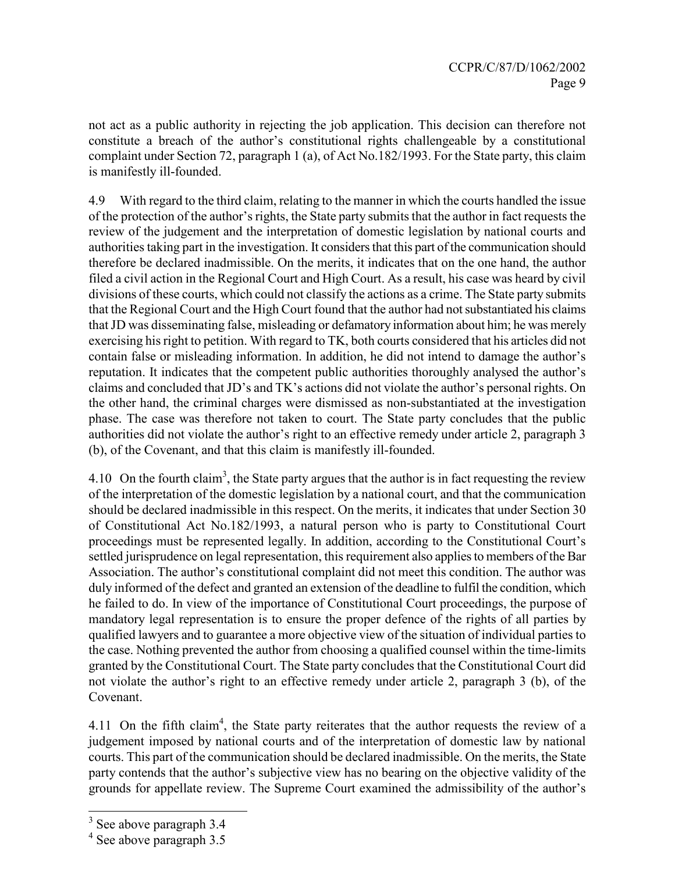not act as a public authority in rejecting the job application. This decision can therefore not constitute a breach of the author's constitutional rights challengeable by a constitutional complaint under Section 72, paragraph 1 (a), of Act No.182/1993. For the State party, this claim is manifestly ill-founded.

4.9 With regard to the third claim, relating to the manner in which the courts handled the issue of the protection of the author's rights, the State party submits that the author in fact requests the review of the judgement and the interpretation of domestic legislation by national courts and authorities taking part in the investigation. It considers that this part of the communication should therefore be declared inadmissible. On the merits, it indicates that on the one hand, the author filed a civil action in the Regional Court and High Court. As a result, his case was heard by civil divisions of these courts, which could not classify the actions as a crime. The State party submits that the Regional Court and the High Court found that the author had not substantiated his claims that JD was disseminating false, misleading or defamatory information about him; he was merely exercising his right to petition. With regard to TK, both courts considered that his articles did not contain false or misleading information. In addition, he did not intend to damage the author's reputation. It indicates that the competent public authorities thoroughly analysed the author's claims and concluded that JD's and TK's actions did not violate the author's personal rights. On the other hand, the criminal charges were dismissed as non-substantiated at the investigation phase. The case was therefore not taken to court. The State party concludes that the public authorities did not violate the author's right to an effective remedy under article 2, paragraph 3 (b), of the Covenant, and that this claim is manifestly ill-founded.

4.10 On the fourth claim<sup>3</sup>, the State party argues that the author is in fact requesting the review of the interpretation of the domestic legislation by a national court, and that the communication should be declared inadmissible in this respect. On the merits, it indicates that under Section 30 of Constitutional Act No.182/1993, a natural person who is party to Constitutional Court proceedings must be represented legally. In addition, according to the Constitutional Court's settled jurisprudence on legal representation, this requirement also applies to members of the Bar Association. The author's constitutional complaint did not meet this condition. The author was duly informed of the defect and granted an extension of the deadline to fulfil the condition, which he failed to do. In view of the importance of Constitutional Court proceedings, the purpose of mandatory legal representation is to ensure the proper defence of the rights of all parties by qualified lawyers and to guarantee a more objective view of the situation of individual parties to the case. Nothing prevented the author from choosing a qualified counsel within the time-limits granted by the Constitutional Court. The State party concludes that the Constitutional Court did not violate the author's right to an effective remedy under article 2, paragraph 3 (b), of the Covenant.

4.11 On the fifth claim<sup>4</sup>, the State party reiterates that the author requests the review of a judgement imposed by national courts and of the interpretation of domestic law by national courts. This part of the communication should be declared inadmissible. On the merits, the State party contends that the author's subjective view has no bearing on the objective validity of the grounds for appellate review. The Supreme Court examined the admissibility of the author's

<sup>&</sup>lt;sup>3</sup> See above paragraph 3.4

<sup>&</sup>lt;sup>4</sup> See above paragraph 3.5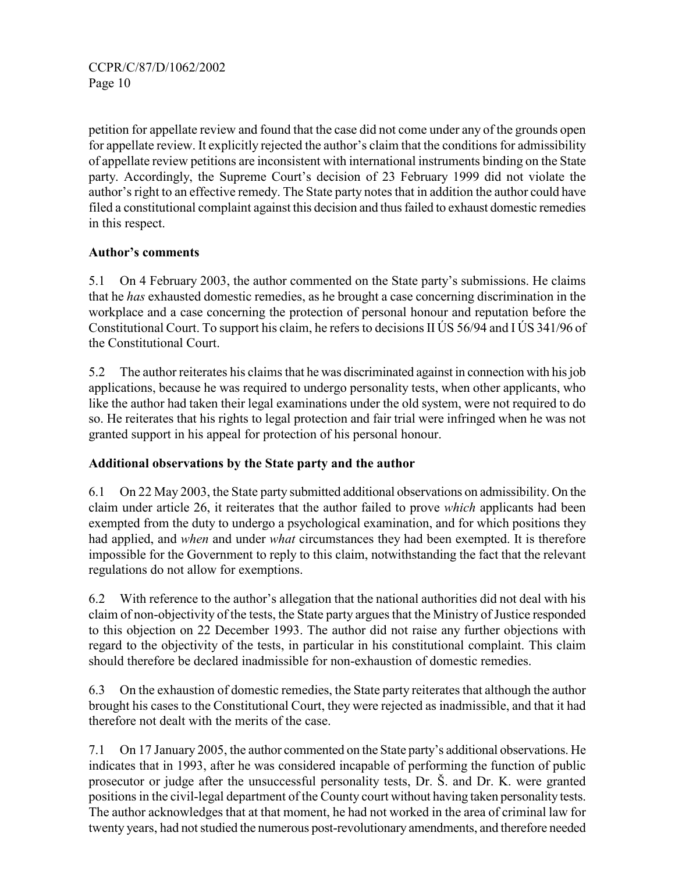petition for appellate review and found that the case did not come under any of the grounds open for appellate review. It explicitly rejected the author's claim that the conditions for admissibility of appellate review petitions are inconsistent with international instruments binding on the State party. Accordingly, the Supreme Court's decision of 23 February 1999 did not violate the author's right to an effective remedy. The State party notes that in addition the author could have filed a constitutional complaint against this decision and thus failed to exhaust domestic remedies in this respect.

## Author's comments

5.1 On 4 February 2003, the author commented on the State party's submissions. He claims that he has exhausted domestic remedies, as he brought a case concerning discrimination in the workplace and a case concerning the protection of personal honour and reputation before the Constitutional Court. To support his claim, he refers to decisions II ÚS 56/94 and I ÚS 341/96 of the Constitutional Court.

5.2 The author reiterates his claims that he was discriminated against in connection with his job applications, because he was required to undergo personality tests, when other applicants, who like the author had taken their legal examinations under the old system, were not required to do so. He reiterates that his rights to legal protection and fair trial were infringed when he was not granted support in his appeal for protection of his personal honour.

#### Additional observations by the State party and the author

6.1 On 22 May 2003, the State party submitted additional observations on admissibility. On the claim under article 26, it reiterates that the author failed to prove which applicants had been exempted from the duty to undergo a psychological examination, and for which positions they had applied, and when and under what circumstances they had been exempted. It is therefore impossible for the Government to reply to this claim, notwithstanding the fact that the relevant regulations do not allow for exemptions.

6.2 With reference to the author's allegation that the national authorities did not deal with his claim of non-objectivity of the tests, the State party argues that the Ministry of Justice responded to this objection on 22 December 1993. The author did not raise any further objections with regard to the objectivity of the tests, in particular in his constitutional complaint. This claim should therefore be declared inadmissible for non-exhaustion of domestic remedies.

6.3 On the exhaustion of domestic remedies, the State party reiterates that although the author brought his cases to the Constitutional Court, they were rejected as inadmissible, and that it had therefore not dealt with the merits of the case.

7.1 On 17 January 2005, the author commented on the State party's additional observations. He indicates that in 1993, after he was considered incapable of performing the function of public prosecutor or judge after the unsuccessful personality tests, Dr. Š. and Dr. K. were granted positions in the civil-legal department of the County court without having taken personality tests. The author acknowledges that at that moment, he had not worked in the area of criminal law for twenty years, had not studied the numerous post-revolutionary amendments, and therefore needed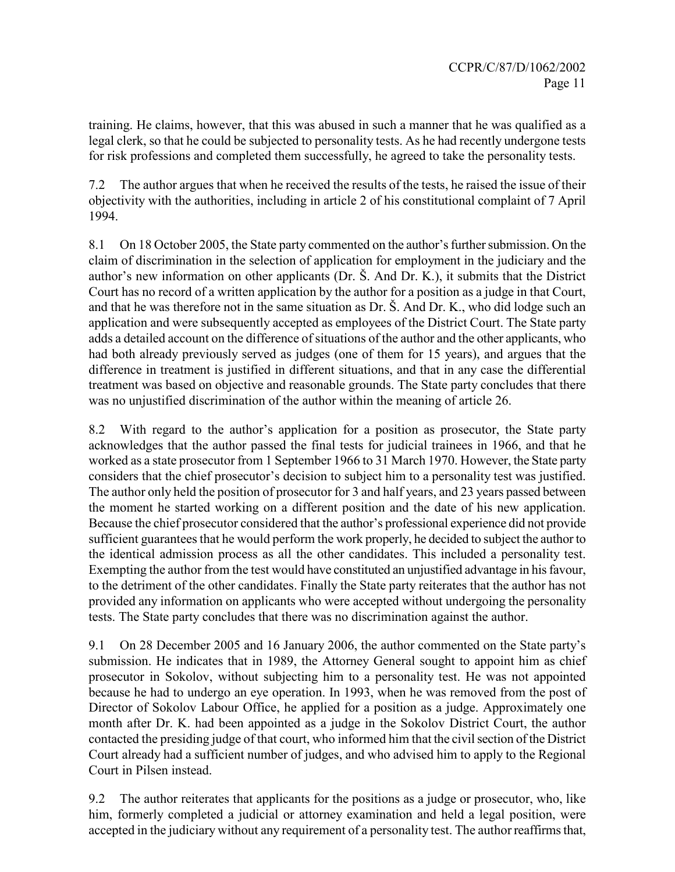training. He claims, however, that this was abused in such a manner that he was qualified as a legal clerk, so that he could be subjected to personality tests. As he had recently undergone tests for risk professions and completed them successfully, he agreed to take the personality tests.

7.2 The author argues that when he received the results of the tests, he raised the issue of their objectivity with the authorities, including in article 2 of his constitutional complaint of 7 April 1994.

8.1 On 18 October 2005, the State party commented on the author's further submission. On the claim of discrimination in the selection of application for employment in the judiciary and the author's new information on other applicants (Dr. Š. And Dr. K.), it submits that the District Court has no record of a written application by the author for a position as a judge in that Court, and that he was therefore not in the same situation as Dr. Š. And Dr. K., who did lodge such an application and were subsequently accepted as employees of the District Court. The State party adds a detailed account on the difference of situations of the author and the other applicants, who had both already previously served as judges (one of them for 15 years), and argues that the difference in treatment is justified in different situations, and that in any case the differential treatment was based on objective and reasonable grounds. The State party concludes that there was no unjustified discrimination of the author within the meaning of article 26.

8.2 With regard to the author's application for a position as prosecutor, the State party acknowledges that the author passed the final tests for judicial trainees in 1966, and that he worked as a state prosecutor from 1 September 1966 to 31 March 1970. However, the State party considers that the chief prosecutor's decision to subject him to a personality test was justified. The author only held the position of prosecutor for 3 and half years, and 23 years passed between the moment he started working on a different position and the date of his new application. Because the chief prosecutor considered that the author's professional experience did not provide sufficient guarantees that he would perform the work properly, he decided to subject the author to the identical admission process as all the other candidates. This included a personality test. Exempting the author from the test would have constituted an unjustified advantage in his favour, to the detriment of the other candidates. Finally the State party reiterates that the author has not provided any information on applicants who were accepted without undergoing the personality tests. The State party concludes that there was no discrimination against the author.

9.1 On 28 December 2005 and 16 January 2006, the author commented on the State party's submission. He indicates that in 1989, the Attorney General sought to appoint him as chief prosecutor in Sokolov, without subjecting him to a personality test. He was not appointed because he had to undergo an eye operation. In 1993, when he was removed from the post of Director of Sokolov Labour Office, he applied for a position as a judge. Approximately one month after Dr. K. had been appointed as a judge in the Sokolov District Court, the author contacted the presiding judge of that court, who informed him that the civil section of the District Court already had a sufficient number of judges, and who advised him to apply to the Regional Court in Pilsen instead.

9.2 The author reiterates that applicants for the positions as a judge or prosecutor, who, like him, formerly completed a judicial or attorney examination and held a legal position, were accepted in the judiciary without any requirement of a personality test. The author reaffirms that,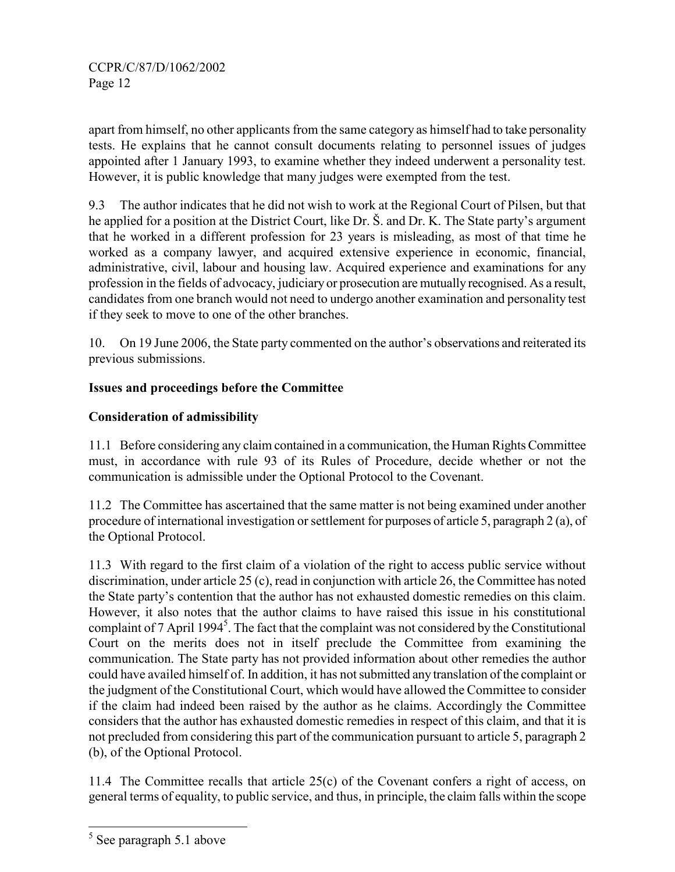apart from himself, no other applicants from the same category as himself had to take personality tests. He explains that he cannot consult documents relating to personnel issues of judges appointed after 1 January 1993, to examine whether they indeed underwent a personality test. However, it is public knowledge that many judges were exempted from the test.

9.3 The author indicates that he did not wish to work at the Regional Court of Pilsen, but that he applied for a position at the District Court, like Dr. Š. and Dr. K. The State party's argument that he worked in a different profession for 23 years is misleading, as most of that time he worked as a company lawyer, and acquired extensive experience in economic, financial, administrative, civil, labour and housing law. Acquired experience and examinations for any profession in the fields of advocacy, judiciary or prosecution are mutually recognised. As a result, candidates from one branch would not need to undergo another examination and personality test if they seek to move to one of the other branches.

10. On 19 June 2006, the State party commented on the author's observations and reiterated its previous submissions.

## Issues and proceedings before the Committee

## Consideration of admissibility

11.1 Before considering any claim contained in a communication, the Human Rights Committee must, in accordance with rule 93 of its Rules of Procedure, decide whether or not the communication is admissible under the Optional Protocol to the Covenant.

11.2 The Committee has ascertained that the same matter is not being examined under another procedure of international investigation or settlement for purposes of article 5, paragraph 2 (a), of the Optional Protocol.

11.3 With regard to the first claim of a violation of the right to access public service without discrimination, under article 25 (c), read in conjunction with article 26, the Committee has noted the State party's contention that the author has not exhausted domestic remedies on this claim. However, it also notes that the author claims to have raised this issue in his constitutional complaint of 7 April 1994<sup>5</sup>. The fact that the complaint was not considered by the Constitutional Court on the merits does not in itself preclude the Committee from examining the communication. The State party has not provided information about other remedies the author could have availed himself of. In addition, it has not submitted any translation of the complaint or the judgment of the Constitutional Court, which would have allowed the Committee to consider if the claim had indeed been raised by the author as he claims. Accordingly the Committee considers that the author has exhausted domestic remedies in respect of this claim, and that it is not precluded from considering this part of the communication pursuant to article 5, paragraph 2 (b), of the Optional Protocol.

11.4 The Committee recalls that article 25(c) of the Covenant confers a right of access, on general terms of equality, to public service, and thus, in principle, the claim falls within the scope

 $\frac{5}{5}$  See paragraph 5.1 above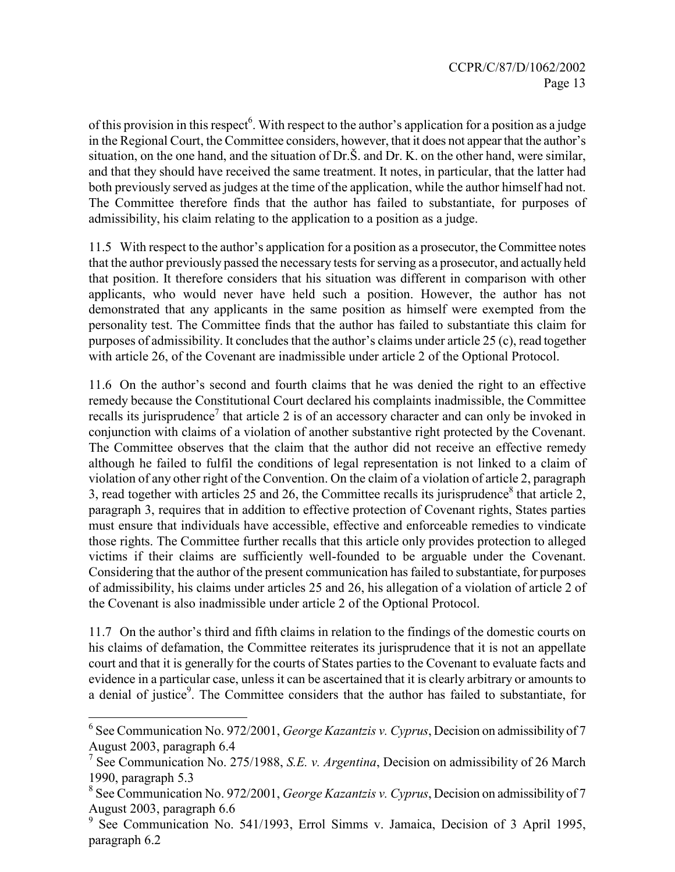of this provision in this respect<sup>6</sup>. With respect to the author's application for a position as a judge in the Regional Court, the Committee considers, however, that it does not appear that the author's situation, on the one hand, and the situation of Dr.Š. and Dr. K. on the other hand, were similar, and that they should have received the same treatment. It notes, in particular, that the latter had both previously served as judges at the time of the application, while the author himself had not. The Committee therefore finds that the author has failed to substantiate, for purposes of admissibility, his claim relating to the application to a position as a judge.

11.5 With respect to the author's application for a position as a prosecutor, the Committee notes that the author previously passed the necessary tests for serving as a prosecutor, and actually held that position. It therefore considers that his situation was different in comparison with other applicants, who would never have held such a position. However, the author has not demonstrated that any applicants in the same position as himself were exempted from the personality test. The Committee finds that the author has failed to substantiate this claim for purposes of admissibility. It concludes that the author's claims under article 25 (c), read together with article 26, of the Covenant are inadmissible under article 2 of the Optional Protocol.

11.6 On the author's second and fourth claims that he was denied the right to an effective remedy because the Constitutional Court declared his complaints inadmissible, the Committee recalls its jurisprudence<sup>7</sup> that article 2 is of an accessory character and can only be invoked in conjunction with claims of a violation of another substantive right protected by the Covenant. The Committee observes that the claim that the author did not receive an effective remedy although he failed to fulfil the conditions of legal representation is not linked to a claim of violation of any other right of the Convention. On the claim of a violation of article 2, paragraph 3, read together with articles 25 and 26, the Committee recalls its jurisprudence<sup>8</sup> that article 2, paragraph 3, requires that in addition to effective protection of Covenant rights, States parties must ensure that individuals have accessible, effective and enforceable remedies to vindicate those rights. The Committee further recalls that this article only provides protection to alleged victims if their claims are sufficiently well-founded to be arguable under the Covenant. Considering that the author of the present communication has failed to substantiate, for purposes of admissibility, his claims under articles 25 and 26, his allegation of a violation of article 2 of the Covenant is also inadmissible under article 2 of the Optional Protocol.

11.7 On the author's third and fifth claims in relation to the findings of the domestic courts on his claims of defamation, the Committee reiterates its jurisprudence that it is not an appellate court and that it is generally for the courts of States parties to the Covenant to evaluate facts and evidence in a particular case, unless it can be ascertained that it is clearly arbitrary or amounts to a denial of justice<sup>9</sup>. The Committee considers that the author has failed to substantiate, for

j

<sup>&</sup>lt;sup>6</sup> See Communication No. 972/2001, *George Kazantzis v. Cyprus*, Decision on admissibility of 7 August 2003, paragraph 6.4

<sup>&</sup>lt;sup>7</sup> See Communication No. 275/1988, S.E. v. Argentina, Decision on admissibility of 26 March 1990, paragraph 5.3

<sup>&</sup>lt;sup>8</sup> See Communication No. 972/2001, George Kazantzis v. Cyprus, Decision on admissibility of 7 August 2003, paragraph 6.6

<sup>9</sup> See Communication No. 541/1993, Errol Simms v. Jamaica, Decision of 3 April 1995, paragraph 6.2